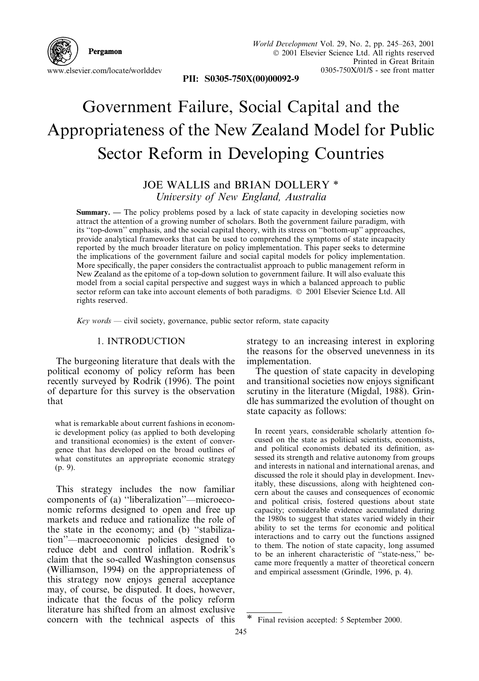

PII: S0305-750X(00)00092-9

## Government Failure, Social Capital and the Appropriateness of the New Zealand Model for Public Sector Reform in Developing Countries

## JOE WALLIS and BRIAN DOLLERY \* University of New England, Australia

**Summary.**  $\overline{\phantom{a}}$  The policy problems posed by a lack of state capacity in developing societies now attract the attention of a growing number of scholars. Both the government failure paradigm, with its "top-down" emphasis, and the social capital theory, with its stress on "bottom-up" approaches, provide analytical frameworks that can be used to comprehend the symptoms of state incapacity reported by the much broader literature on policy implementation. This paper seeks to determine the implications of the government failure and social capital models for policy implementation. More specifically, the paper considers the contractualist approach to public management reform in New Zealand as the epitome of a top-down solution to government failure. It will also evaluate this model from a social capital perspective and suggest ways in which a balanced approach to public sector reform can take into account elements of both paradigms.  $© 2001$  Elsevier Science Ltd. All rights reserved.

 $Key$  words  $-$  civil society, governance, public sector reform, state capacity

## 1. INTRODUCTION

The burgeoning literature that deals with the political economy of policy reform has been recently surveyed by Rodrik (1996). The point of departure for this survey is the observation that

what is remarkable about current fashions in economic development policy (as applied to both developing and transitional economies) is the extent of convergence that has developed on the broad outlines of what constitutes an appropriate economic strategy (p. 9).

This strategy includes the now familiar components of  $(a)$  "liberalization"—microeconomic reforms designed to open and free up markets and reduce and rationalize the role of the state in the economy; and (b) "stabilization''—macroeconomic policies designed to reduce debt and control inflation. Rodrik's claim that the so-called Washington consensus (Williamson, 1994) on the appropriateness of this strategy now enjoys general acceptance may, of course, be disputed. It does, however, indicate that the focus of the policy reform literature has shifted from an almost exclusive concern with the technical aspects of this strategy to an increasing interest in exploring the reasons for the observed unevenness in its implementation.

The question of state capacity in developing and transitional societies now enjoys significant scrutiny in the literature (Migdal, 1988). Grindle has summarized the evolution of thought on state capacity as follows:

In recent years, considerable scholarly attention focused on the state as political scientists, economists, and political economists debated its definition, assessed its strength and relative autonomy from groups and interests in national and international arenas, and discussed the role it should play in development. Inevitably, these discussions, along with heightened concern about the causes and consequences of economic and political crisis, fostered questions about state capacity; considerable evidence accumulated during the 1980s to suggest that states varied widely in their ability to set the terms for economic and political interactions and to carry out the functions assigned to them. The notion of state capacity, long assumed to be an inherent characteristic of "state-ness," became more frequently a matter of theoretical concern and empirical assessment (Grindle, 1996, p. 4).

Final revision accepted: 5 September 2000.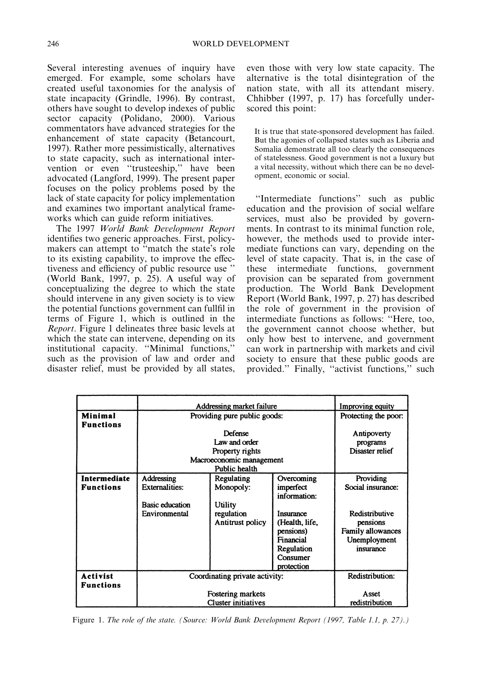Several interesting avenues of inquiry have emerged. For example, some scholars have created useful taxonomies for the analysis of state incapacity (Grindle, 1996). By contrast, others have sought to develop indexes of public sector capacity (Polidano, 2000). Various commentators have advanced strategies for the enhancement of state capacity (Betancourt, 1997). Rather more pessimistically, alternatives to state capacity, such as international intervention or even "trusteeship," have been advocated (Langford, 1999). The present paper focuses on the policy problems posed by the lack of state capacity for policy implementation and examines two important analytical frameworks which can guide reform initiatives.

The 1997 World Bank Development Report identifies two generic approaches. First, policymakers can attempt to "match the state's role to its existing capability, to improve the effectiveness and efficiency of public resource use ' (World Bank, 1997, p. 25). A useful way of conceptualizing the degree to which the state should intervene in any given society is to view the potential functions government can full fil in terms of Figure 1, which is outlined in the Report. Figure 1 delineates three basic levels at which the state can intervene, depending on its institutional capacity. "Minimal functions," such as the provision of law and order and disaster relief, must be provided by all states, even those with very low state capacity. The alternative is the total disintegration of the nation state, with all its attendant misery. Chhibber (1997, p. 17) has forcefully underscored this point:

It is true that state-sponsored development has failed. But the agonies of collapsed states such as Liberia and Somalia demonstrate all too clearly the consequences of statelessness. Good government is not a luxury but a vital necessity, without which there can be no development, economic or social.

``Intermediate functions'' such as public education and the provision of social welfare services, must also be provided by governments. In contrast to its minimal function role, however, the methods used to provide intermediate functions can vary, depending on the level of state capacity. That is, in the case of these intermediate functions, government provision can be separated from government production. The World Bank Development Report (World Bank, 1997, p. 27) has described the role of government in the provision of intermediate functions as follows: "Here, too, the government cannot choose whether, but only how best to intervene, and government can work in partnership with markets and civil society to ensure that these public goods are provided." Finally, "activist functions," such

|                                    | Addressing market failure                                                                |                                                                      |                                                                                                                                          | Improving equity                                                                                                      |
|------------------------------------|------------------------------------------------------------------------------------------|----------------------------------------------------------------------|------------------------------------------------------------------------------------------------------------------------------------------|-----------------------------------------------------------------------------------------------------------------------|
| <b>Minimal</b><br><b>Functions</b> | Providing pure public goods:                                                             |                                                                      |                                                                                                                                          | Protecting the poor:                                                                                                  |
|                                    | Defense<br>Law and order<br>Property rights<br>Macroeconomic management<br>Public health |                                                                      |                                                                                                                                          | Antipoverty<br>programs<br>Disaster relief                                                                            |
| Intermediate<br><b>Functions</b>   | Addressing<br><b>Externalities:</b><br>Basic education<br>Environmental                  | Regulating<br>Monopoly:<br>Utility<br>regulation<br>Antitrust policy | Overcoming<br>imperfect<br>information:<br>Insurance<br>(Health, life,<br>pensions)<br>Financial<br>Regulation<br>Consumer<br>protection | Providing<br>Social insurance:<br>Redistributive<br>pensions<br><b>Family allowances</b><br>Unemployment<br>insurance |
| Activist<br><b>Functions</b>       | Coordinating private activity:<br>Fostering markets<br><b>Cluster</b> initiatives        |                                                                      |                                                                                                                                          | Redistribution:<br>Asset<br>redistribution                                                                            |

Figure 1. The role of the state. (Source: World Bank Development Report (1997, Table 1.1, p. 27).)